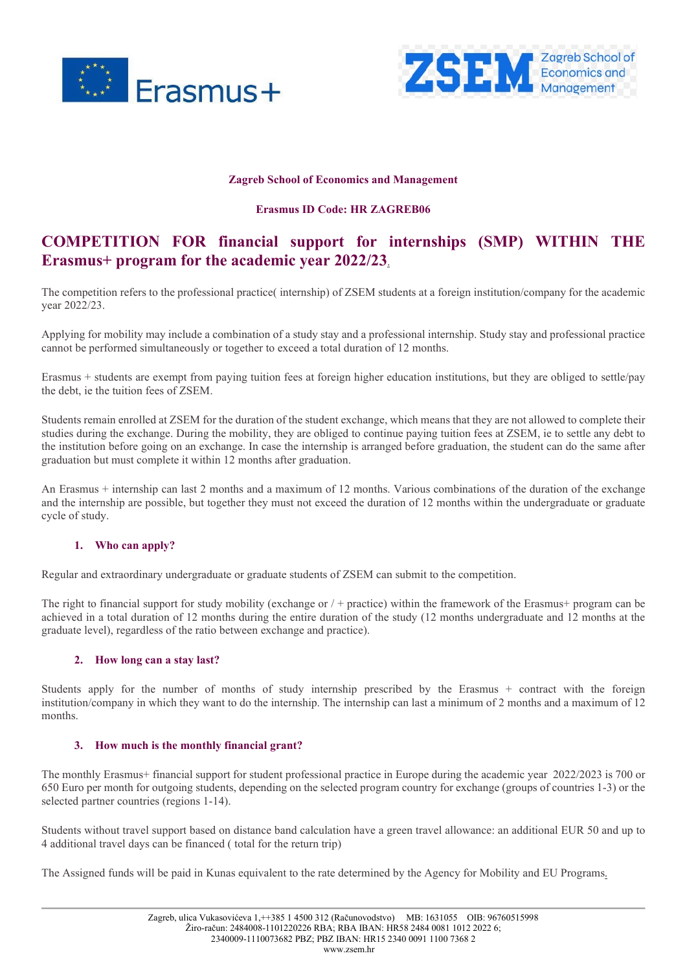



#### **Zagreb School of Economics and Management**

#### **Erasmus ID Code: HR ZAGREB06**

# **COMPETITION FOR financial support for internships (SMP) WITHIN THE Erasmus+ program for the academic year 2022/23**.

The competition refers to the professional practice( internship) of ZSEM students at a foreign institution/company for the academic year 2022/23.

Applying for mobility may include a combination of a study stay and a professional internship. Study stay and professional practice cannot be performed simultaneously or together to exceed a total duration of 12 months.

Erasmus + students are exempt from paying tuition fees at foreign higher education institutions, but they are obliged to settle/pay the debt, ie the tuition fees of ZSEM.

Students remain enrolled at ZSEM for the duration of the student exchange, which means that they are not allowed to complete their studies during the exchange. During the mobility, they are obliged to continue paying tuition fees at ZSEM, ie to settle any debt to the institution before going on an exchange. In case the internship is arranged before graduation, the student can do the same after graduation but must complete it within 12 months after graduation.

An Erasmus + internship can last 2 months and a maximum of 12 months. Various combinations of the duration of the exchange and the internship are possible, but together they must not exceed the duration of 12 months within the undergraduate or graduate cycle of study.

## **1. Who can apply?**

Regular and extraordinary undergraduate or graduate students of ZSEM can submit to the competition.

The right to financial support for study mobility (exchange or / + practice) within the framework of the Erasmus+ program can be achieved in a total duration of 12 months during the entire duration of the study (12 months undergraduate and 12 months at the graduate level), regardless of the ratio between exchange and practice).

## **2. How long can a stay last?**

Students apply for the number of months of study internship prescribed by the Erasmus + contract with the foreign institution/company in which they want to do the internship. The internship can last a minimum of 2 months and a maximum of 12 months.

## **3. How much is the monthly financial grant?**

The monthly Erasmus+ financial support for student professional practice in Europe during the academic year 2022/2023 is 700 or 650 Euro per month for outgoing students, depending on the selected program country for exchange (groups of countries 1-3) or the selected partner countries (regions 1-14).

Students without travel support based on distance band calculation have a green travel allowance: an additional EUR 50 and up to 4 additional travel days can be financed ( total for the return trip)

The Assigned funds will be paid in Kunas equivalent to the rate determined by the Agency for Mobility and EU Programs.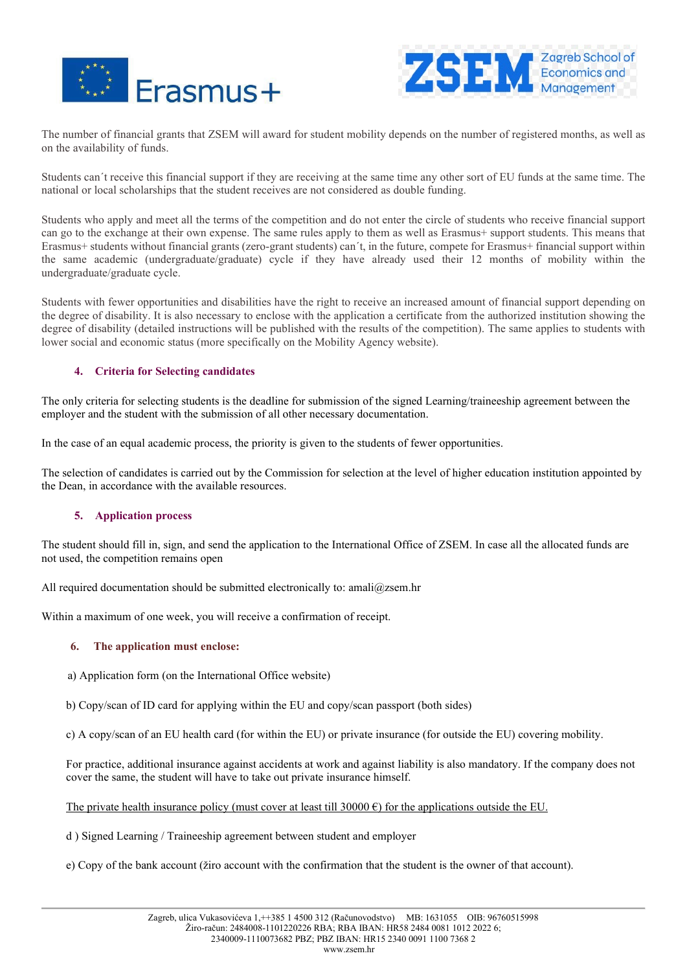



The number of financial grants that ZSEM will award for student mobility depends on the number of registered months, as well as on the availability of funds.

Students can´t receive this financial support if they are receiving at the same time any other sort of EU funds at the same time. The national or local scholarships that the student receives are not considered as double funding.

Students who apply and meet all the terms of the competition and do not enter the circle of students who receive financial support can go to the exchange at their own expense. The same rules apply to them as well as Erasmus+ support students. This means that Erasmus+ students without financial grants (zero-grant students) can´t, in the future, compete for Erasmus+ financial support within the same academic (undergraduate/graduate) cycle if they have already used their 12 months of mobility within the undergraduate/graduate cycle.

Students with fewer opportunities and disabilities have the right to receive an increased amount of financial support depending on the degree of disability. It is also necessary to enclose with the application a certificate from the authorized institution showing the degree of disability (detailed instructions will be published with the results of the competition). The same applies to students with lower social and economic status (more specifically on the Mobility Agency website).

# **4. Criteria for Selecting candidates**

The only criteria for selecting students is the deadline for submission of the signed Learning/traineeship agreement between the employer and the student with the submission of all other necessary documentation.

In the case of an equal academic process, the priority is given to the students of fewer opportunities.

The selection of candidates is carried out by the Commission for selection at the level of higher education institution appointed by the Dean, in accordance with the available resources.

## **5. Application process**

The student should fill in, sign, and send the application to the International Office of ZSEM. In case all the allocated funds are not used, the competition remains open

All required documentation should be submitted electronically to: amali@zsem.hr

Within a maximum of one week, you will receive a confirmation of receipt.

## **6. The application must enclose:**

a) Application form (on the International Office website)

b) Copy/scan of ID card for applying within the EU and copy/scan passport (both sides)

c) A copy/scan of an EU health card (for within the EU) or private insurance (for outside the EU) covering mobility.

For practice, additional insurance against accidents at work and against liability is also mandatory. If the company does not cover the same, the student will have to take out private insurance himself.

The private health insurance policy (must cover at least till 30000  $\epsilon$ ) for the applications outside the EU.

d ) Signed Learning / Traineeship agreement between student and employer

e) Copy of the bank account (žiro account with the confirmation that the student is the owner of that account).

www.zsem.hr